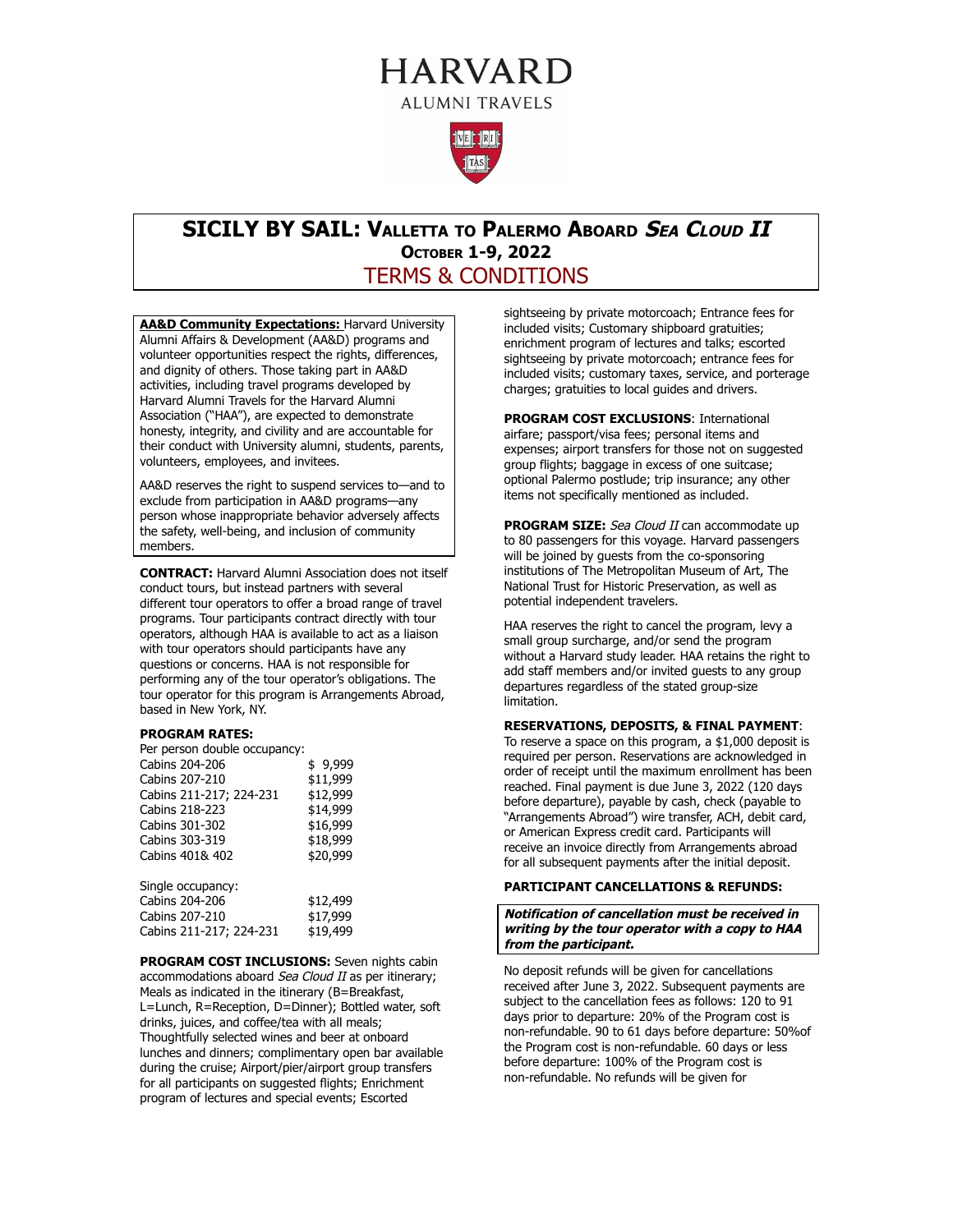# **HARVARD ALUMNI TRAVELS**



## **SICILY BY SAIL: VALLETTA TO PALERMO ABOARD SEA CLOUD II OCTOBER 1-9, 2022**  TERMS & CONDITIONS

**AA&D Community Expectations:** Harvard University Alumni Affairs & Development (AA&D) programs and volunteer opportunities respect the rights, differences, and dignity of others. Those taking part in AA&D activities, including travel programs developed by Harvard Alumni Travels for the Harvard Alumni Association ("HAA"), are expected to demonstrate honesty, integrity, and civility and are accountable for their conduct with University alumni, students, parents, volunteers, employees, and invitees.

AA&D reserves the right to suspend services to—and to exclude from participation in AA&D programs—any person whose inappropriate behavior adversely affects the safety, well-being, and inclusion of community members.

**CONTRACT:** Harvard Alumni Association does not itself conduct tours, but instead partners with several different tour operators to offer a broad range of travel programs. Tour participants contract directly with tour operators, although HAA is available to act as a liaison with tour operators should participants have any questions or concerns. HAA is not responsible for performing any of the tour operator's obligations. The tour operator for this program is Arrangements Abroad, based in New York, NY.

#### **PROGRAM RATES:**

Per person double occupancy:<br>Cabins 204-206 \$9,999 Cabins 204-206 Cabins 207-210 \$11,999<br>Cabins 211-217; 224-231 \$12,999 Cabins 211-217; 224-231 Cabins 218-223 \$14,999 Cabins 301-302 \$16,999<br>Cabins 303-319 \$18,999 Cabins 303-319<br>Cabins 401& 402 \$20,999 Cabins 401& 402 Single occupancy:

| Cabins 204-206          | \$12,499 |
|-------------------------|----------|
| Cabins 207-210          | \$17,999 |
| Cabins 211-217; 224-231 | \$19,499 |

**PROGRAM COST INCLUSIONS:** Seven nights cabin accommodations aboard Sea Cloud II as per itinerary; Meals as indicated in the itinerary (B=Breakfast, L=Lunch, R=Reception, D=Dinner); Bottled water, soft drinks, juices, and coffee/tea with all meals; Thoughtfully selected wines and beer at onboard lunches and dinners; complimentary open bar available during the cruise; Airport/pier/airport group transfers for all participants on suggested flights; Enrichment program of lectures and special events; Escorted

sightseeing by private motorcoach; Entrance fees for included visits; Customary shipboard gratuities; enrichment program of lectures and talks; escorted sightseeing by private motorcoach; entrance fees for included visits; customary taxes, service, and porterage charges; gratuities to local guides and drivers.

**PROGRAM COST EXCLUSIONS**: International airfare; passport/visa fees; personal items and expenses; airport transfers for those not on suggested group flights; baggage in excess of one suitcase; optional Palermo postlude; trip insurance; any other items not specifically mentioned as included.

**PROGRAM SIZE:** Sea Cloud II can accommodate up to 80 passengers for this voyage. Harvard passengers will be joined by guests from the co-sponsoring institutions of The Metropolitan Museum of Art, The National Trust for Historic Preservation, as well as potential independent travelers.

HAA reserves the right to cancel the program, levy a small group surcharge, and/or send the program without a Harvard study leader. HAA retains the right to add staff members and/or invited guests to any group departures regardless of the stated group-size limitation.

#### **RESERVATIONS, DEPOSITS, & FINAL PAYMENT**:

To reserve a space on this program, a \$1,000 deposit is required per person. Reservations are acknowledged in order of receipt until the maximum enrollment has been reached. Final payment is due June 3, 2022 (120 days before departure), payable by cash, check (payable to "Arrangements Abroad") wire transfer, ACH, debit card, or American Express credit card. Participants will receive an invoice directly from Arrangements abroad for all subsequent payments after the initial deposit.

#### **PARTICIPANT CANCELLATIONS & REFUNDS:**

#### **Notification of cancellation must be received in writing by the tour operator with a copy to HAA from the participant.**

No deposit refunds will be given for cancellations received after June 3, 2022. Subsequent payments are subject to the cancellation fees as follows: 120 to 91 days prior to departure: 20% of the Program cost is non-refundable. 90 to 61 days before departure: 50%of the Program cost is non-refundable. 60 days or less before departure: 100% of the Program cost is non-refundable. No refunds will be given for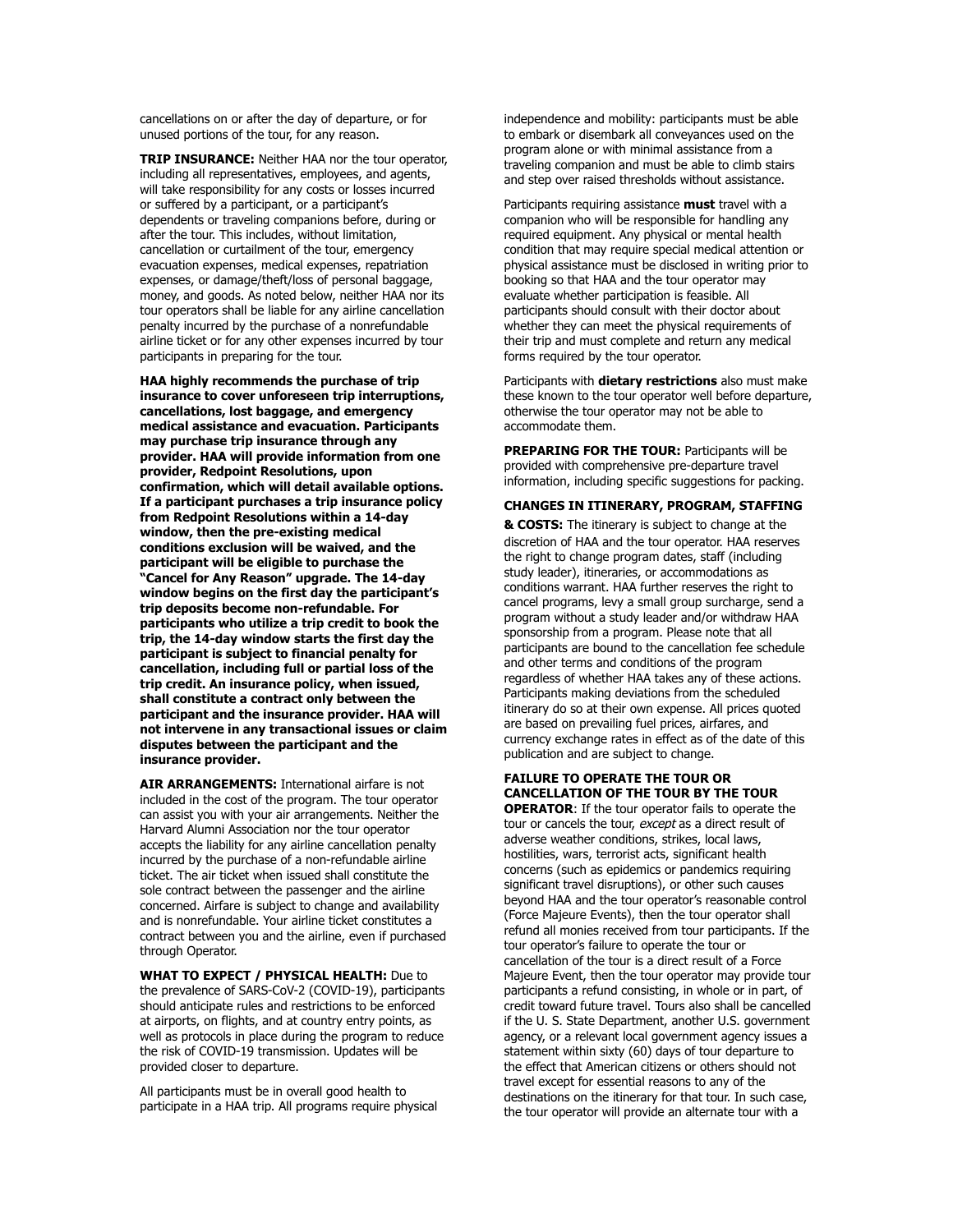cancellations on or after the day of departure, or for unused portions of the tour, for any reason.

**TRIP INSURANCE:** Neither HAA nor the tour operator, including all representatives, employees, and agents, will take responsibility for any costs or losses incurred or suffered by a participant, or a participant's dependents or traveling companions before, during or after the tour. This includes, without limitation, cancellation or curtailment of the tour, emergency evacuation expenses, medical expenses, repatriation expenses, or damage/theft/loss of personal baggage, money, and goods. As noted below, neither HAA nor its tour operators shall be liable for any airline cancellation penalty incurred by the purchase of a nonrefundable airline ticket or for any other expenses incurred by tour participants in preparing for the tour.

**HAA highly recommends the purchase of trip insurance to cover unforeseen trip interruptions, cancellations, lost baggage, and emergency medical assistance and evacuation. Participants may purchase trip insurance through any provider. HAA will provide information from one provider, Redpoint Resolutions, upon confirmation, which will detail available options. If a participant purchases a trip insurance policy from Redpoint Resolutions within a 14-day window, then the pre-existing medical conditions exclusion will be waived, and the participant will be eligible to purchase the "Cancel for Any Reason" upgrade. The 14-day window begins on the first day the participant's trip deposits become non-refundable. For participants who utilize a trip credit to book the trip, the 14-day window starts the first day the participant is subject to financial penalty for cancellation, including full or partial loss of the trip credit. An insurance policy, when issued, shall constitute a contract only between the participant and the insurance provider. HAA will not intervene in any transactional issues or claim disputes between the participant and the insurance provider.** 

**AIR ARRANGEMENTS:** International airfare is not included in the cost of the program. The tour operator can assist you with your air arrangements. Neither the Harvard Alumni Association nor the tour operator accepts the liability for any airline cancellation penalty incurred by the purchase of a non-refundable airline ticket. The air ticket when issued shall constitute the sole contract between the passenger and the airline concerned. Airfare is subject to change and availability and is nonrefundable. Your airline ticket constitutes a contract between you and the airline, even if purchased through Operator.

**WHAT TO EXPECT / PHYSICAL HEALTH:** Due to the prevalence of SARS-CoV-2 (COVID-19), participants should anticipate rules and restrictions to be enforced at airports, on flights, and at country entry points, as well as protocols in place during the program to reduce the risk of COVID-19 transmission. Updates will be provided closer to departure.

All participants must be in overall good health to participate in a HAA trip. All programs require physical independence and mobility: participants must be able to embark or disembark all conveyances used on the program alone or with minimal assistance from a traveling companion and must be able to climb stairs and step over raised thresholds without assistance.

Participants requiring assistance **must** travel with a companion who will be responsible for handling any required equipment. Any physical or mental health condition that may require special medical attention or physical assistance must be disclosed in writing prior to booking so that HAA and the tour operator may evaluate whether participation is feasible. All participants should consult with their doctor about whether they can meet the physical requirements of their trip and must complete and return any medical forms required by the tour operator.

Participants with **dietary restrictions** also must make these known to the tour operator well before departure, otherwise the tour operator may not be able to accommodate them.

**PREPARING FOR THE TOUR: Participants will be** provided with comprehensive pre-departure travel information, including specific suggestions for packing.

#### **CHANGES IN ITINERARY, PROGRAM, STAFFING**

**& COSTS:** The itinerary is subject to change at the discretion of HAA and the tour operator. HAA reserves the right to change program dates, staff (including study leader), itineraries, or accommodations as conditions warrant. HAA further reserves the right to cancel programs, levy a small group surcharge, send a program without a study leader and/or withdraw HAA sponsorship from a program. Please note that all participants are bound to the cancellation fee schedule and other terms and conditions of the program regardless of whether HAA takes any of these actions. Participants making deviations from the scheduled itinerary do so at their own expense. All prices quoted are based on prevailing fuel prices, airfares, and currency exchange rates in effect as of the date of this publication and are subject to change.

### **FAILURE TO OPERATE THE TOUR OR CANCELLATION OF THE TOUR BY THE TOUR**

**OPERATOR**: If the tour operator fails to operate the tour or cancels the tour, except as a direct result of adverse weather conditions, strikes, local laws, hostilities, wars, terrorist acts, significant health concerns (such as epidemics or pandemics requiring significant travel disruptions), or other such causes beyond HAA and the tour operator's reasonable control (Force Majeure Events), then the tour operator shall refund all monies received from tour participants. If the tour operator's failure to operate the tour or cancellation of the tour is a direct result of a Force Majeure Event, then the tour operator may provide tour participants a refund consisting, in whole or in part, of credit toward future travel. Tours also shall be cancelled if the U. S. State Department, another U.S. government agency, or a relevant local government agency issues a statement within sixty (60) days of tour departure to the effect that American citizens or others should not travel except for essential reasons to any of the destinations on the itinerary for that tour. In such case, the tour operator will provide an alternate tour with a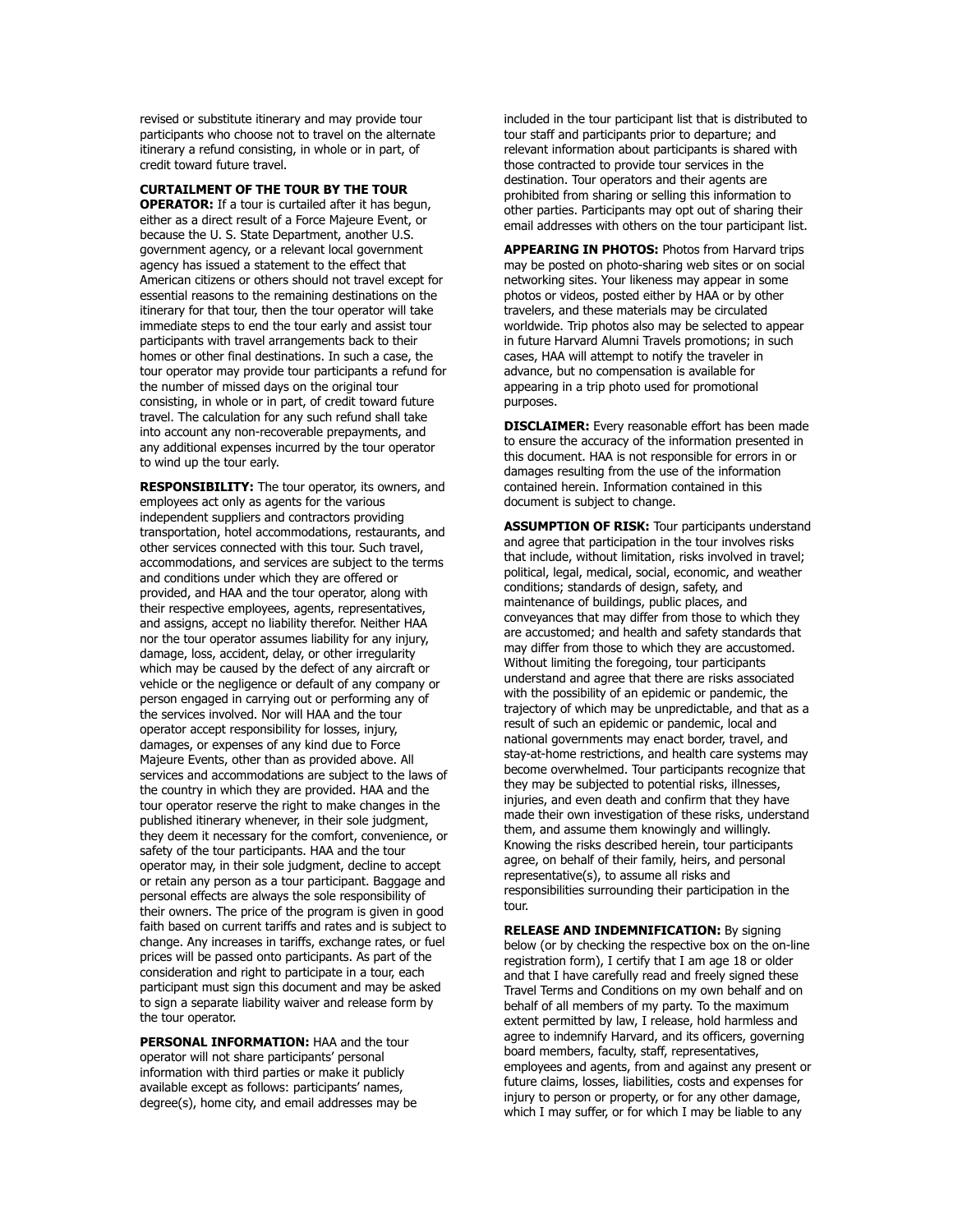revised or substitute itinerary and may provide tour participants who choose not to travel on the alternate itinerary a refund consisting, in whole or in part, of credit toward future travel.

**CURTAILMENT OF THE TOUR BY THE TOUR** 

**OPERATOR:** If a tour is curtailed after it has begun, either as a direct result of a Force Majeure Event, or because the U. S. State Department, another U.S. government agency, or a relevant local government agency has issued a statement to the effect that American citizens or others should not travel except for essential reasons to the remaining destinations on the itinerary for that tour, then the tour operator will take immediate steps to end the tour early and assist tour participants with travel arrangements back to their homes or other final destinations. In such a case, the tour operator may provide tour participants a refund for the number of missed days on the original tour consisting, in whole or in part, of credit toward future travel. The calculation for any such refund shall take into account any non-recoverable prepayments, and any additional expenses incurred by the tour operator to wind up the tour early.

**RESPONSIBILITY:** The tour operator, its owners, and employees act only as agents for the various independent suppliers and contractors providing transportation, hotel accommodations, restaurants, and other services connected with this tour. Such travel, accommodations, and services are subject to the terms and conditions under which they are offered or provided, and HAA and the tour operator, along with their respective employees, agents, representatives, and assigns, accept no liability therefor. Neither HAA nor the tour operator assumes liability for any injury, damage, loss, accident, delay, or other irregularity which may be caused by the defect of any aircraft or vehicle or the negligence or default of any company or person engaged in carrying out or performing any of the services involved. Nor will HAA and the tour operator accept responsibility for losses, injury, damages, or expenses of any kind due to Force Majeure Events, other than as provided above. All services and accommodations are subject to the laws of the country in which they are provided. HAA and the tour operator reserve the right to make changes in the published itinerary whenever, in their sole judgment, they deem it necessary for the comfort, convenience, or safety of the tour participants. HAA and the tour operator may, in their sole judgment, decline to accept or retain any person as a tour participant. Baggage and personal effects are always the sole responsibility of their owners. The price of the program is given in good faith based on current tariffs and rates and is subject to change. Any increases in tariffs, exchange rates, or fuel prices will be passed onto participants. As part of the consideration and right to participate in a tour, each participant must sign this document and may be asked to sign a separate liability waiver and release form by the tour operator.

**PERSONAL INFORMATION:** HAA and the tour operator will not share participants' personal information with third parties or make it publicly available except as follows: participants' names, degree(s), home city, and email addresses may be

included in the tour participant list that is distributed to tour staff and participants prior to departure; and relevant information about participants is shared with those contracted to provide tour services in the destination. Tour operators and their agents are prohibited from sharing or selling this information to other parties. Participants may opt out of sharing their email addresses with others on the tour participant list.

**APPEARING IN PHOTOS:** Photos from Harvard trips may be posted on photo-sharing web sites or on social networking sites. Your likeness may appear in some photos or videos, posted either by HAA or by other travelers, and these materials may be circulated worldwide. Trip photos also may be selected to appear in future Harvard Alumni Travels promotions; in such cases, HAA will attempt to notify the traveler in advance, but no compensation is available for appearing in a trip photo used for promotional purposes.

**DISCLAIMER:** Every reasonable effort has been made to ensure the accuracy of the information presented in this document. HAA is not responsible for errors in or damages resulting from the use of the information contained herein. Information contained in this document is subject to change.

**ASSUMPTION OF RISK:** Tour participants understand and agree that participation in the tour involves risks that include, without limitation, risks involved in travel; political, legal, medical, social, economic, and weather conditions; standards of design, safety, and maintenance of buildings, public places, and conveyances that may differ from those to which they are accustomed; and health and safety standards that may differ from those to which they are accustomed. Without limiting the foregoing, tour participants understand and agree that there are risks associated with the possibility of an epidemic or pandemic, the trajectory of which may be unpredictable, and that as a result of such an epidemic or pandemic, local and national governments may enact border, travel, and stay-at-home restrictions, and health care systems may become overwhelmed. Tour participants recognize that they may be subjected to potential risks, illnesses, injuries, and even death and confirm that they have made their own investigation of these risks, understand them, and assume them knowingly and willingly. Knowing the risks described herein, tour participants agree, on behalf of their family, heirs, and personal representative(s), to assume all risks and responsibilities surrounding their participation in the tour.

**RELEASE AND INDEMNIFICATION: By signing** below (or by checking the respective box on the on-line registration form), I certify that I am age 18 or older and that I have carefully read and freely signed these Travel Terms and Conditions on my own behalf and on behalf of all members of my party. To the maximum extent permitted by law, I release, hold harmless and agree to indemnify Harvard, and its officers, governing board members, faculty, staff, representatives, employees and agents, from and against any present or future claims, losses, liabilities, costs and expenses for injury to person or property, or for any other damage, which I may suffer, or for which I may be liable to any